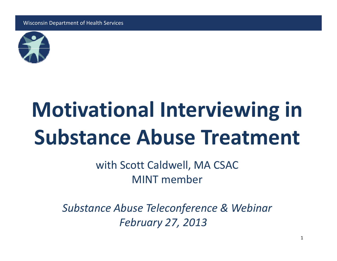

# **Motivational Interviewing in Substance Abuse Treatment**

with Scott Caldwell, MA CSAC MINT member

*Substance Abuse Teleconference & Webinar February 27, 2013*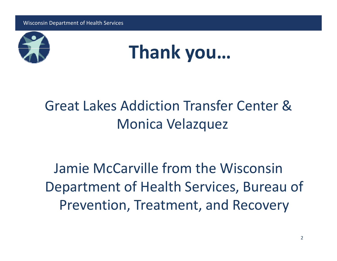



### Great Lakes Addiction Transfer Center &Monica Velazquez

Jamie McCarville from the Wisconsin Department of Health Services, Bureau of Prevention, Treatment, and Recovery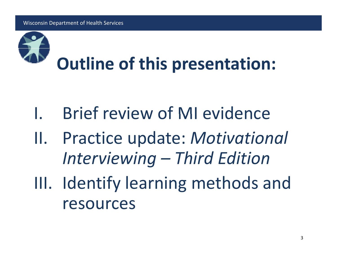

- I.Brief review of MI evidence
- II. Practice update: *Motivational Interviewing – Third Edition*
- III. Identify learning methods and resources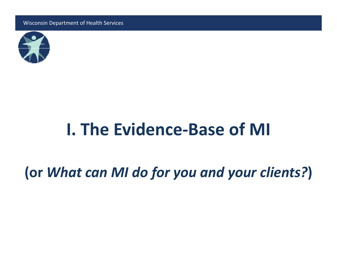

## **I. The Evidence‐Base of MI**

**(or** *What can MI do for you and your clients?***)**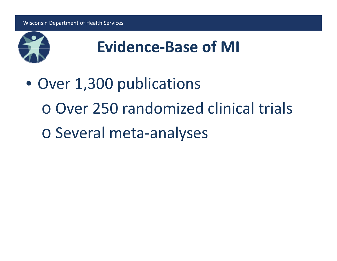

• Over 1,300 publications <sup>o</sup> Over 250 randomized clinical trials <sup>o</sup> Several meta‐analyses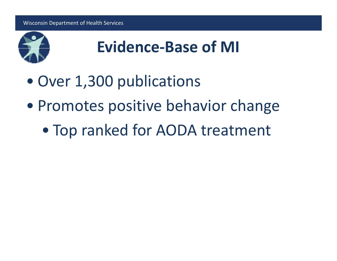

- Over 1,300 publications
- Promotes positive behavior change
	- $\bullet$ Top ranked for AODA treatment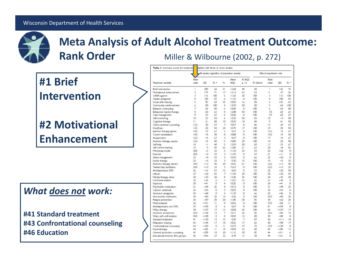

#### **Meta Analysis of Adult Alcohol Treatment Outcome: Rank Order** Miller & Wilbourne (2002, p. 272)

#### **#1 Brief Intervention**

#### **#2 Motivational Enhancement**

#### *What does not work:*

**#41 St d d an ar tt t rea ment #43 Confrontational counseling #46 Education**

| Table 3 Summary scores for treatment |                                                | dalities with three or more studies. |              |                |       |           |                           |                |         |              |
|--------------------------------------|------------------------------------------------|--------------------------------------|--------------|----------------|-------|-----------|---------------------------|----------------|---------|--------------|
|                                      | All studies, regardless of population severity |                                      |              |                |       |           | Clinical populations only |                |         |              |
|                                      | Rank                                           |                                      |              |                | Mean  | % MOS     |                           | Rank           |         |              |
| Treatment modality                   | order                                          | CES                                  | $x +$        | N              | MQS   | $\geq 14$ | % Cintrol                 | order          | CES     | $% +$        |
| Brief intervention                   | r                                              | 280                                  | 68           | 31             | 12.68 | 48        | 48                        | ı              | 136     | 73           |
| Motivational enhancement             | 2                                              | 173                                  | 71           | 17             | 13.12 | 53        | 53                        | н              | 37      | 56           |
| GABA agonist                         | 3                                              | 116                                  | 100          | 5              | 11.60 | 20        | 100                       | 3              | 116     | 100          |
| Opiate antagonist                    | 4                                              | 100                                  | 83           | 6.             | 11,33 | o         | 100                       | 4              | 100     | 83           |
| Social skills training               | Ś                                              | 85                                   | 68           | 25             | 10.50 | 16        | 84                        | 2              | 125     | 63           |
| Community reinforcement              | ٤                                              | 80                                   | 100          | 4              | 13.00 | 50        | 80                        | 5              | 68      | 100          |
| Behavior contracting                 | $\overline{7}$                                 | 64                                   | 80           | 5              | 10.40 | o         | 100                       | ï,             | 64      | 80           |
| Behavioral marital therapy           | 8                                              | 40                                   | 62           | ×              | 12.88 | 50        | ioo                       | 75             | 60      | 63           |
| Case management                      | 9                                              | 33                                   | 67           | 6              | 10.20 | o         | 100                       | 75             | 60      | 67           |
| Self-monitoring                      | ID.                                            | 25                                   | 50           | 4              | 12.00 | 50        | 83                        | 措              | -3      | 40           |
| Cognitive therapy                    | Ħ                                              | 21                                   | 40           | 1D             | 10.00 | 10        | 88                        | 9              | 41      | SO           |
| Client-centered counseling           | 125                                            | 20                                   | 57           | 7              | 10.57 | o         | 86                        | 13             | 28      | 67           |
| Disulfiram                           | 125                                            | 20                                   | 5D           | 24             | 10.75 | 17        | 100                       | 10             | 38      | 50           |
| aversion therapy, apneic             | 145                                            | 18                                   | 67           | з              | 9.67  | o         | 100                       | 155            | 18      | 67           |
| Covert sensitization                 | 145                                            | 18                                   | 38           | B              | 10.88 | O         | iΩO                       | 15.5           | IS.     | 38           |
| Acupuncture                          | 165                                            | $^{14}$                              | 67           | з              | 9.67  | o         | 100                       | 17             | $^{14}$ | 67           |
| Aversion therapy, nausea             | 165                                            | 4                                    | 40           | 5              | 10.40 | 20        | 100                       | $\frac{14}{2}$ | 20      | 40           |
| Self-help                            | 18                                             | п                                    | 40           | 5              | 12.00 | 30        | 60                        | 12             | 33      | 67           |
| Self-control training                | 19                                             | 9                                    | 49           | 35             | 12.80 | 51        | 63                        | 20             | $-8$    | 45           |
| Minnesota model                      | 20.5                                           | -3                                   | 33           | з              | 11,33 | 33        | 33                        | 25             | $-22$   | O            |
| Exercise                             | 20.5                                           | $-1$                                 | 33           | 3              | 11,00 | o         | 33                        | 21             | $-11$   | o            |
| Stress management                    | 22                                             | $-4$                                 | 33           | 3              | 1033  | ö         | 66                        | 25             | $-22$   | o            |
| Family therapy                       | 23                                             | $-5$                                 | 33           | 3              | 9.30  | 15        | iœ                        | 19             | $-5$    | 33           |
| Aversion therapy, electric           | 24.5                                           | $-13$                                | 40           | 20             | 10.55 | 67        | 100                       | 22.5           | $-13$   | 40           |
| Twelve-Step facilitation             | 24.5                                           | $-13$                                | 33           | 3              | 15.67 | 0         | 100                       | 225            | $-13$   | 33           |
| Antidepressant, SSPI                 | 26                                             | $-16$                                | 53           | 15             | 8.60  | O         | 53                        | 25             | $-22$   | 50           |
| Lithium                              | 27                                             | $-32$                                | 43           | 7              | 11,43 | 29        | í CiCl                    | 28             | $-32$   | 43           |
| Marital therapy other                | $^{28}$                                        | $-33$                                | 38           | 8              | 1235  | 25        | 100                       | 29             | $-33$   | 38           |
| Functional analysis                  | 29                                             | $-36$                                | o            | з              | 12,00 | 33        | 66                        | 27             | $-24$   | o            |
| Hypnosis                             | 30                                             | $-41$                                | 0            | 4              | 10.75 | 0         | 100                       | 30             | $-41$   | O            |
| Psychedelic medication               | 31                                             | $-44$                                | 25           | 8              | 10.12 | o         | 100                       | 3ĭ             | $-44$   | 25           |
| Calcium carbinide                    | 32                                             | $-52$                                | ū            | ä              | 1000  | ä         | 100                       | 33             | $-52$   | $\Omega$     |
| Serutonin antagonist                 | 33                                             | $-68$                                | O            | 3              | 11,33 | o         | 66                        | 32             | $-46$   | O            |
| Anti-aradety medication              | 34                                             | $-80$                                | 29           | 14             | 8.36  | o         | 100                       | 25.5           | $-80$   | 29           |
| Relapse prevention                   | 25                                             | $-87$                                | 30           | 20             | 11.85 | 30        | 悠                         | 34             | $-62$   | 29           |
| Metronidazole                        | 36                                             | $-101$                               | П            | 9              | 1056  | O         | ΙŒ                        | 375            | $-82$   | $\mathbf{1}$ |
| Antidepressant, non-SSRI             | 37                                             | $-104$                               | o            | 4              | 8.67  | $\Omega$  | 100                       | 41             | $-104$  | o            |
|                                      | 38                                             | $-107$                               | 17           | 12             | 1058  | 25        | 100                       | 42             | $-107$  | 17           |
| Mileu therapy<br>Alcoholic anonymous | 39.5                                           | $-108$                               | 14           | $\overline{r}$ | 10.71 | 29        | 86                        | 35.5           | $-80$   | 14           |
| Video self-confrontation             | 39.5                                           | $-108$                               | $\Box$       | ×              | 10.50 | 13        | 88                        | 29             | $-84$   | $\Omega$     |
| Standard treatment                   | $+1$                                           | $-130$                               | 13           | 15             | 9.30  | 7         | 87                        | 43             | $-111$  | 10           |
|                                      |                                                | $-144$                               | 17           | 18             | 10.56 | 17        | 66                        | 40             | $-98$   | 17           |
| Relaxation training                  | 42<br>43                                       | $-190$                               | O            | п              | 10.73 | 27        | 73                        | 375            | $-129$  | $\Box$       |
| Confrontational counseling           | 44                                             | $-225$                               | $\mathbf{1}$ | 18             | 10.94 | 22        | 88                        | 45.            | $-185$  | 13           |
| Psychotherapy                        | 45                                             |                                      |              |                |       |           |                           |                |         |              |
| General alcoholism counseling        |                                                | $-239$                               | 10           | 20             | 11.15 | 20<br>13  | 85<br>38                  | 46<br>44       | $-211$  | 6<br>Ō       |
| Educational lectures, films, groups  | 46                                             | $-343$                               | 27           | 23             | 8.74  |           |                           |                | $-161$  |              |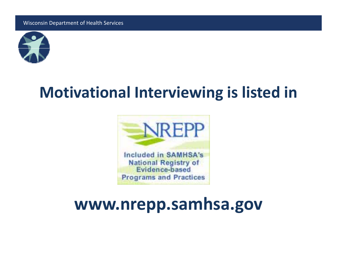

### **Motivational Interviewing is listed in**



## **www.nrepp g .samhsa.gov**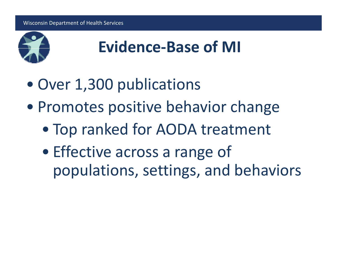

- Over 1,300 publications
- Promotes positive behavior change
	- $\bullet$ Top ranked for AODA treatment
	- $\bullet$ • Effective across a range of populations, settings, and behaviors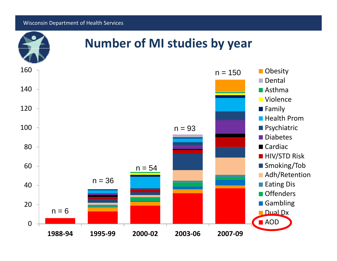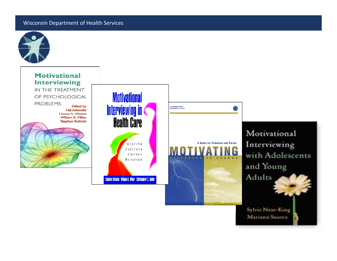

Mariann Suarez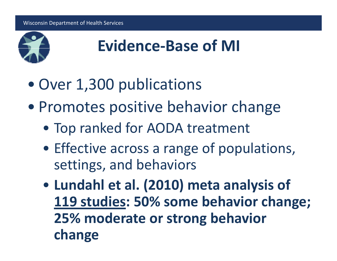

- Over 1,300 publications
- Promotes positive behavior change
	- Top ranked for AODA treatment
	- Effective across a range of populations, settings, and behaviors
	- $\bullet$  **Lund hl <sup>a</sup> et al. ( ) 2010 meta analysis of 119 studies: 50% some behavior change; 25% moderate or strong behavior change**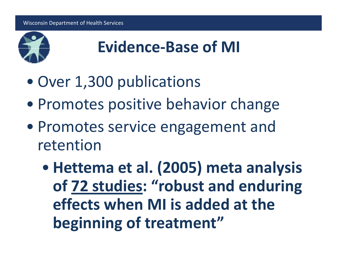

- Over 1,300 publications
- Promotes positive behavior change
- Promotes service engagement and retention
	- $\bullet$  **Hettema et al. (2005) meta analysis of 72 studies: "robust and enduring effects when MI is added at the beginning of treatment"**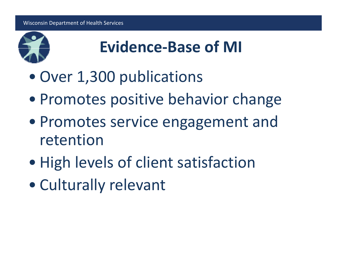

- $\bullet$ Over 1,300 publications
- Promotes positive behavior change
- Promotes service engagement and retention
- $\bullet$ High levels of client satisfaction
- Culturally relevant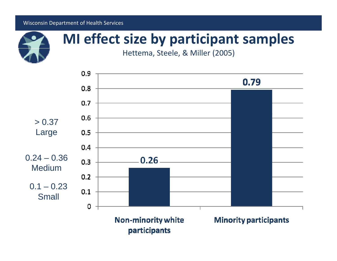

### **MI effect size by participant samples**

Hettema, Steele, & Miller (2005)

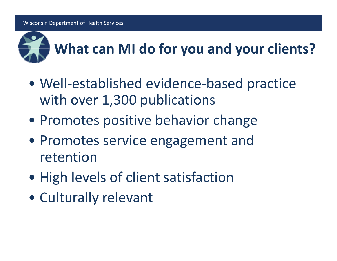

- Well‐established evidence ‐based practice with over 1,300 publications
- Promotes positive behavior change
- Promotes service engagement and retention
- High levels of client satisfaction
- Culturally relevant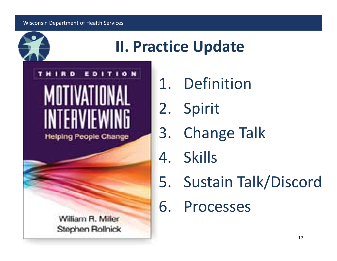



- 1. Definition
- 2. Spirit
- 3. Change Talk
- 4. Skills
- 5. Sustain Talk/Discord
- 6. Processes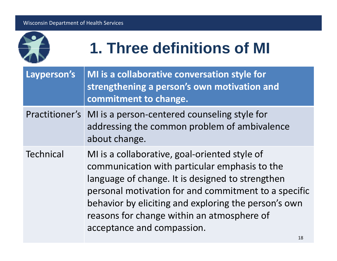

## **1. Three definitions of MI**

| Layperson's      | MI is a collaborative conversation style for<br>strengthening a person's own motivation and<br>commitment to change.                                                                                                                                                                                                                           |
|------------------|------------------------------------------------------------------------------------------------------------------------------------------------------------------------------------------------------------------------------------------------------------------------------------------------------------------------------------------------|
| Practitioner's   | MI is a person-centered counseling style for<br>addressing the common problem of ambivalence<br>about change.                                                                                                                                                                                                                                  |
| <b>Technical</b> | MI is a collaborative, goal-oriented style of<br>communication with particular emphasis to the<br>language of change. It is designed to strengthen<br>personal motivation for and commitment to a specific<br>behavior by eliciting and exploring the person's own<br>reasons for change within an atmosphere of<br>acceptance and compassion. |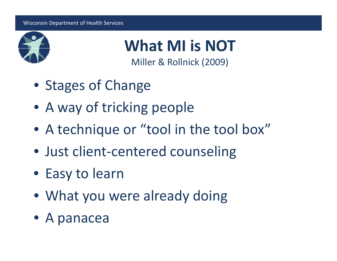

**What MI is NOT**

Miller & Rollnick (2009)

- Stages of Change
- A way of tricking people
- A technique or "tool in the tool box"
- Just client‐centered counseling
- Easy to learn
- What you were already doing
- A panacea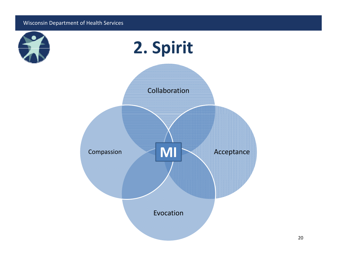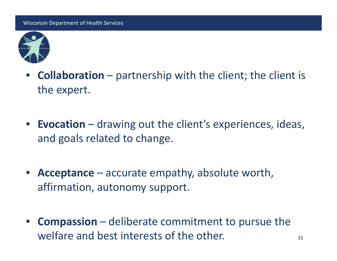

- $\bullet$ • **Collaboration** – partnership with the client; the client is the expert.
- **Evocation** drawing out the client's experiences, ideas, and goals related to change.
- **Acceptance** accurate empathy, absolute worth, affirmation, autonomy support.
- $\bullet$  **Compassion** – deliberate commitment to pursue the welfare and best interests of the other.  $21$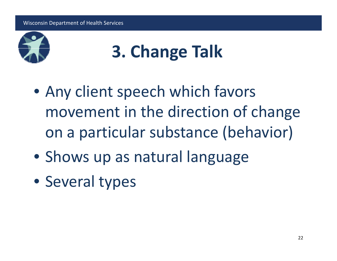

## **3. Change T lk <sup>a</sup>**

- Any client speech which favors movement in the direction of change on <sup>a</sup> particular substance (behavior)
- Shows up as natural language
- Several types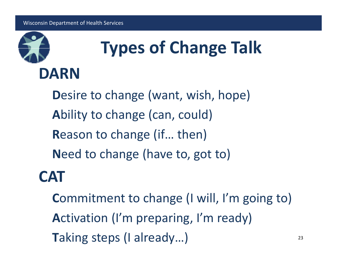

# **Types of Change Talk**

**D**esire to change (want, wish, hope) **A**bility to change (can, could) **R**eason to change (if… then) **N**eed to change (have to, got to)

### **CAT**

**C**ommitment to change (I will, I'm going to) **A**ctivation (I'm preparing, I'm ready) **Taking steps (I already...)** 23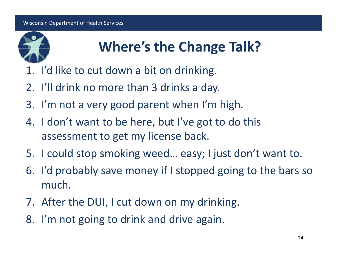

### **Where s' the Change Talk?**

- 1. I'd like to cut down <sup>a</sup> bit on drinking.
- 2. I'll drink no more than 3 drinks <sup>a</sup> day.
- 3. I'm not <sup>a</sup> very good parent when I'm high.
- 4. I don't want to be here, but I've got to do this assessment to get my license back.
- 5. I could stop smoking weed… easy; I just don't want to.
- 6. I'd probably save money if I stopped going to the bars so much.
- 7. After the DUI, I cut down on my drinking.
- 8. I'm not going to drink and drive again.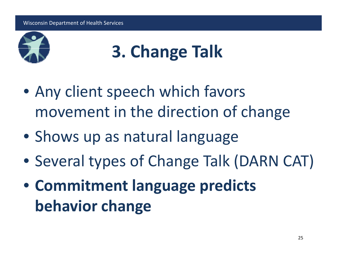

## **3. Change T lk <sup>a</sup>**

- Any client speech which favors movement in the direction of change
- Shows up as natural language
- Several types of Change Talk (DARN CAT)
- **Commitment language predicts behavior change**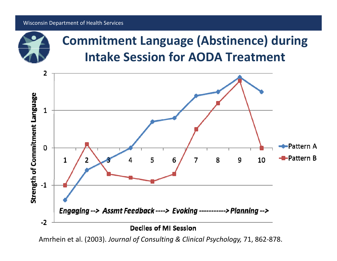

### **Commitment Language (Abstinence) during Intake Session for AODA Treatment**



Amrhein et al. (2003). *Journal of Consulting & Clinical Psychology,* 71, 862‐878.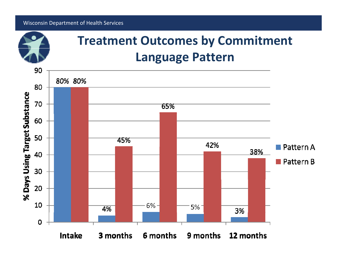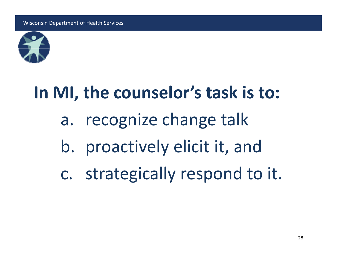

## **In MI, the counselor's task is to:**

- a. recognize change talk
- b. proactively elicit it, and
- c. strategically respond to it.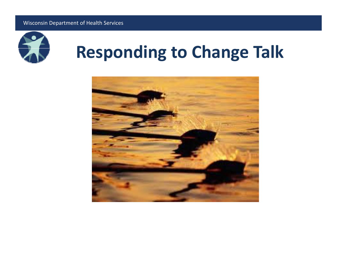

## **Responding to Change Talk**

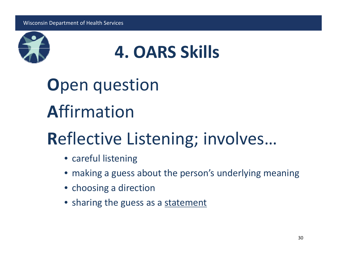

## **4. OARS Skills**

**O**pen question **A**ffirmation

## **R**eflective Listening; involves…

- careful listening
- making <sup>a</sup> guess about the person's underlying meaning
- choosing <sup>a</sup> direction
- sharing the guess as a <u>statement</u>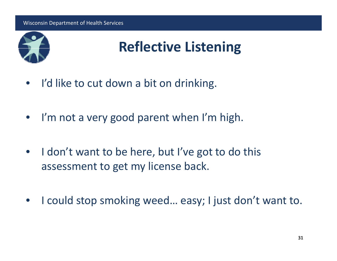

### **Reflective Listening**

- $\bullet$ • I'd like to cut down a bit on drinking.
- $\bullet$ • I'm not a very good parent when I'm high.
- $\bullet$ • I don't want to be here, but I've got to do this assessment to get my license back.
- $\bullet$ • I could stop smoking weed... easy; I just don't want to.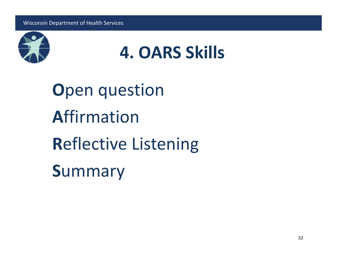



**O**pen question **A**ffirmation**R**eflective Listening **S**ummary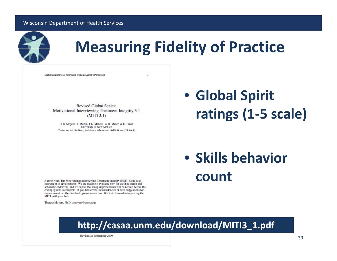

### **Measuring Fidelity of Practice**

Draft Manuscript: Do Not Quote Without Author's Permission

**Revised Global Scales:** Motivational Interviewing Treatment Integrity 3.1  $(MITI 3.1)$ 

T.B. Moyers, T. Martin, J.K. Manuel, W.R. Miller, & D. Ernst **University of New Mexico** Center on Alcoholism, Substance Abuse and Addictions (CASAA) • **Global Spirit ratings (1‐5 scale)**

### • **Skills behavior count**

Author Note: The Motivational Interviewing Treatment Integrity (MITI) Code is an instrument-in-development. We are making it available now for use in research and scholastic endeavors, and we expect that many improvements will be needed before this coding system is complete. If you find errors, inconsistencies or have suggestions for improvement or other feedback, please contact us. We look forward to improving the MITL with your help.

Theresa Movers, Ph.D. (tmovers@unm.edu)

#### **http://casaa.unm.edu/download/MITI3\_1.pdf**

Revised 21 September 2009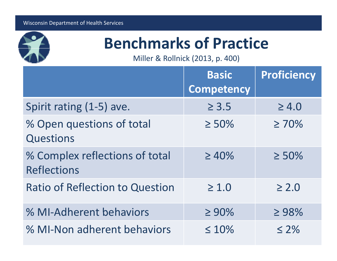

### **Benchmarks of Practice**

Miller & Rollnick (2013, p. 400)

|                                                      | <b>Basic</b><br>Competency | <b>Proficiency</b> |
|------------------------------------------------------|----------------------------|--------------------|
| Spirit rating (1-5) ave.                             | $\geq 3.5$                 | $\geq 4.0$         |
| % Open questions of total<br><b>Questions</b>        | $\geq 50\%$                | $\geq 70\%$        |
| % Complex reflections of total<br><b>Reflections</b> | $\geq 40\%$                | $\geq 50\%$        |
| <b>Ratio of Reflection to Question</b>               | $\geq 1.0$                 | $\geq 2.0$         |
| % MI-Adherent behaviors                              | $\geq 90\%$                | $\geq 98\%$        |
| % MI-Non adherent behaviors                          | $\leq 10\%$                | $\leq 2\%$         |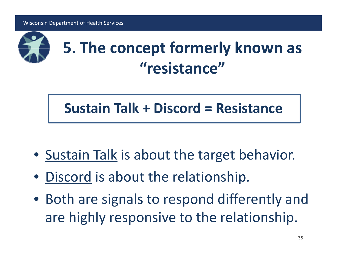

## **5. The concept formerly known as "resistance"**

### **Sustain Talk <sup>+</sup> Discord <sup>=</sup> Resistance**

- **Sustain Talk** is about the target behavior.
- $\bullet$ • Discord is about the relationship.
- Both are signals to respond differently and are highly responsive to the relationship.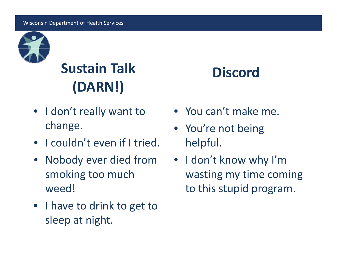

## **Sustain Talk ( ) (DARN!)**

- I don't really want to You can't make me. change.
- I couldn't even if I tried.
- Nobody ever died from smoking too much weed!
- I have to drink to get to sleep at night.

### **Discord**

- You can't make me.
- You're not being helpful. p
- I don't know why I'm wasting my time coming wasting my time coming<br>to this stupid program.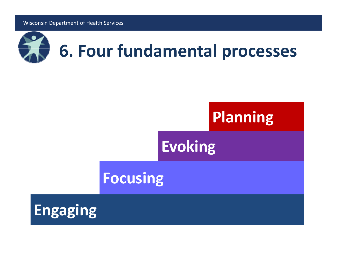

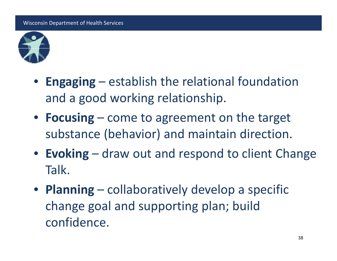

- **Engaging** establish the relational foundation and <sup>a</sup> good working relationship.
- **F i ocus ng** come to agreement on the target substance (behavior) and maintain direction.
- **Evoking** draw out and respond to client Change Talk.
- **Planning** collaboratively develop <sup>a</sup> specific change goal and supporting plan; build confidence.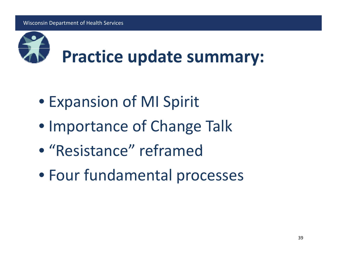

- Expansion of MI Spirit
- Importance of Change Talk
- "Resistance" reframed
- Four fundamental processes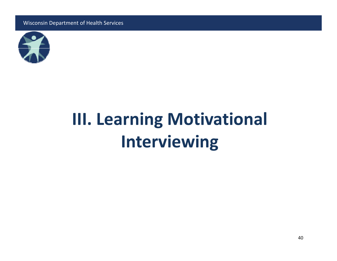

## **III. L i earn ng Mi i l otivational Interviewing**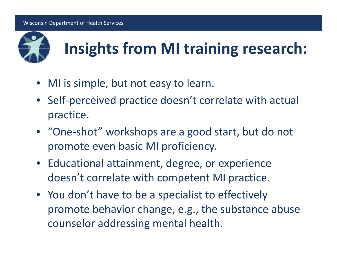

## **Insights from MI training research:**

- $\bullet$ • MI is simple, but not easy to learn.
- Self‐perceived practice doesn't correlate with actual practice.
- "One‐shot" workshops are <sup>a</sup> good start, but do not promote even basic MI proficiency.
- Educational attainment, degree, or experience doesn't correlate with competent MI practice.
- You don't have to be <sup>a</sup> specialist to effectively promote behavior change, e.g., the substance abuse counselor addressing mental health.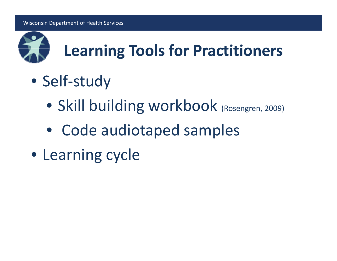

## **Learning Tools for Practitioners**

- Self‐study
	- Skill building workbook (Rosengren, 2009)
	- Code audiotaped samples
- Learning cycle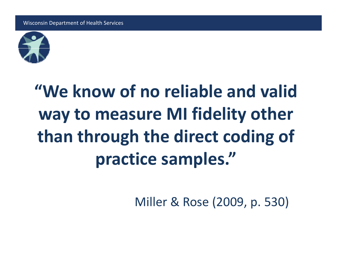

## **"We know of no reliable and valid way to measure MI fidelity other than through the direct coding of practice samples."**

Miller & Rose (2009, p. 530)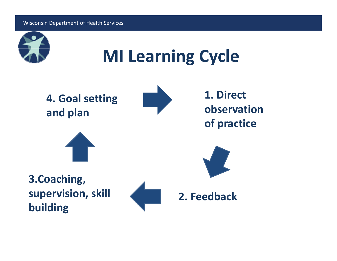

**MI Learning Cycle**

**4. Goal setting and plan**



**1. Directobservationof practice**



**3 Coaching 3.Coaching, supervision, skill building**



**2. Feedback**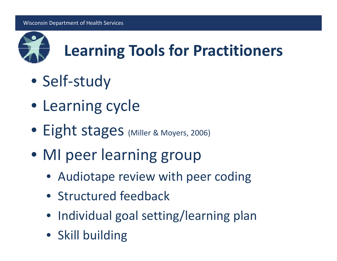

## **Learning Tools for Practitioners**

- Self‐study
- Learning cycle
- **Eight stages** (Miller & Moyers, 2006)
- MI peer learning group
	- Audiotape review with peer coding
	- Structured feedback
	- Individual goal setting/learning plan
	- Skill building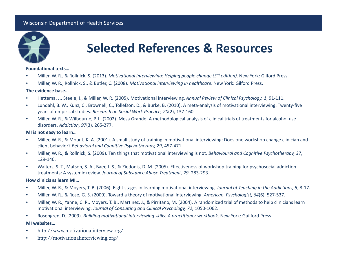

#### **Selected References & Resources**

#### **Foundational texts…**

- •Miller, W. R., & Rollnick, S. (2013). *Motivational interviewing: Helping people change (3rd edition)*. New York: Gilford Press.
- •Miller, W. R., Rollnick, S., & Butler, C. (2008). *Motivational interviewing in healthcare*. New York: Gilford Press.

#### **The evidence base…**

- •Hettema, J., Steele, J., & Miller, W. R. (2005). Motivational interviewing. *Annual Review of Clinical Psychology, 1*, 91‐111.
- • Lundahl, B. W., Kunz, C., Brownell, C., Tollefson, D., & Burke, B. (2010). A meta‐analysis of motivational interviewing: Twenty‐five years of empirical studies. *Research on Social Work Practice, 20*( ), 2 137‐160.
- • Miller, W. R., & Wilbourne, P. L. (2002). Mesa Grande: A methodological analysis of clinical trials of treatments for alcohol use disorders. *Addiction, 97*(3), 265‐277.

#### **MI is not easy to learn…**

- • Miller, W. R., & Mount, K. A. (2001). A small study of training in motivational interviewing: Does one workshop change clinician and client behavior? *Behavioral and Cognitive Psychotherapy Psychotherapy, 29*, 457‐471.
- • Miller, W. R., & Rollnick, S. (2009). Ten things that motivational interviewing is not. *Behavioural and Cognitive Psychotherapy, 37*, 129‐140.
- • Walters, S. T., Matson, S. A., Baer, J. S., & Ziedonis, D. M. (2005). Effectiveness of workshop training for psychosocial addiction treatments: A systemic review. *Journal of Substance Abuse Treatment, 29*, 283‐293.

#### **How clinicians learn MI…**

- •Miller, W. R., & Moyers, T. B. (2006). Eight stages in learning motivational interviewing*. Journal of Teaching in the Addictions, 5*, 3‐17.
- •Miller, W. R., & Rose, G. S. (2009). Toward <sup>a</sup> theory of motivational interviewing. *American Psychologist, 64*(6), 527‐537.
- • Miller, W. R., Yahne, C. R., Moyers, T. B., Martinez, J., & Pirritano, M. (2004). A randomized trial of methods to help clinicians learn motivational interviewing. *Journal of Consulting and Clinical Psychology, 72*, 1050‐1062.
- •Rosengren, D. (2009). *Building motivational interviewing skills: A practitioner workbook*. New York: Guilford Press.

#### **MI websites…**

- •http://www.motivationalinterview.org/
- •http://motivationalinterviewing.org/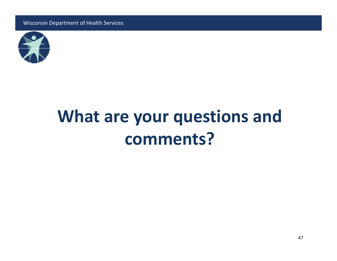

## **What are your questions and comments?**